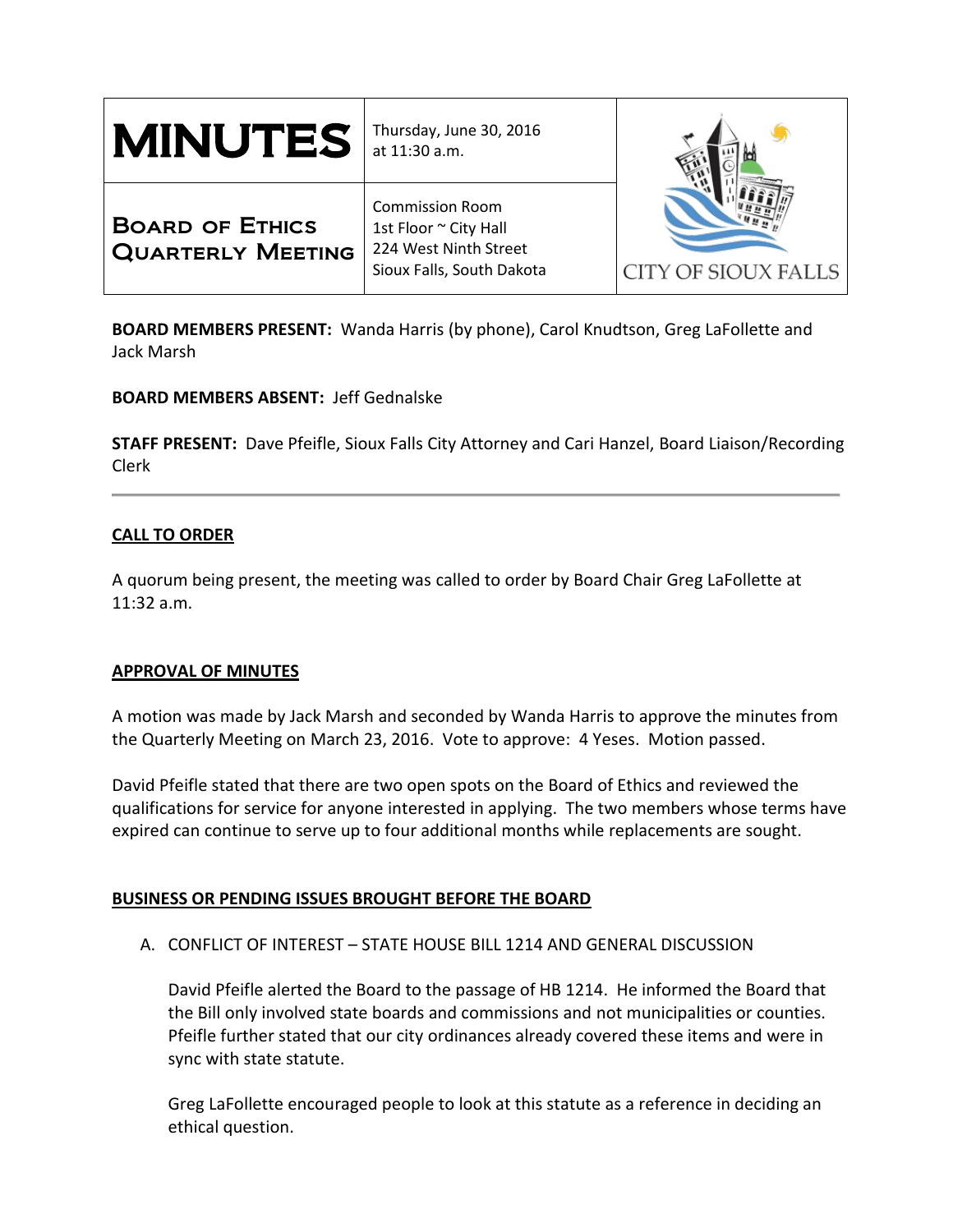| <b>MINUTES</b>                                     | Thursday, June 30, 2016<br>at 11:30 a.m.                                                              |                     |
|----------------------------------------------------|-------------------------------------------------------------------------------------------------------|---------------------|
| <b>BOARD OF ETHICS</b><br><b>QUARTERLY MEETING</b> | <b>Commission Room</b><br>1st Floor ~ City Hall<br>224 West Ninth Street<br>Sioux Falls, South Dakota | CITY OF SIOUX FALLS |

**BOARD MEMBERS PRESENT:** Wanda Harris (by phone), Carol Knudtson, Greg LaFollette and Jack Marsh

**BOARD MEMBERS ABSENT:** Jeff Gednalske

**STAFF PRESENT:** Dave Pfeifle, Sioux Falls City Attorney and Cari Hanzel, Board Liaison/Recording Clerk

# **CALL TO ORDER**

A quorum being present, the meeting was called to order by Board Chair Greg LaFollette at 11:32 a.m.

## **APPROVAL OF MINUTES**

A motion was made by Jack Marsh and seconded by Wanda Harris to approve the minutes from the Quarterly Meeting on March 23, 2016. Vote to approve: 4 Yeses. Motion passed.

David Pfeifle stated that there are two open spots on the Board of Ethics and reviewed the qualifications for service for anyone interested in applying. The two members whose terms have expired can continue to serve up to four additional months while replacements are sought.

## **BUSINESS OR PENDING ISSUES BROUGHT BEFORE THE BOARD**

# A. CONFLICT OF INTEREST – STATE HOUSE BILL 1214 AND GENERAL DISCUSSION

David Pfeifle alerted the Board to the passage of HB 1214. He informed the Board that the Bill only involved state boards and commissions and not municipalities or counties. Pfeifle further stated that our city ordinances already covered these items and were in sync with state statute.

Greg LaFollette encouraged people to look at this statute as a reference in deciding an ethical question.